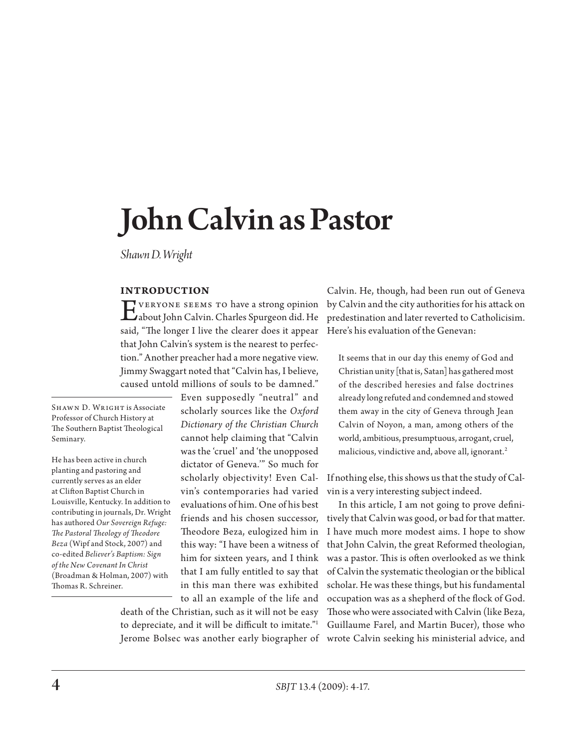# John Calvin as Pastor

*Shawn D. Wright* 

## **Introduction**

Everyone seems to have a strong opinion about John Calvin. Charles Spurgeon did. He said, "The longer I live the clearer does it appear that John Calvin's system is the nearest to perfection." Another preacher had a more negative view. Jimmy Swaggart noted that "Calvin has, I believe, caused untold millions of souls to be damned."

SHAWN D. WRIGHT is Associate Professor of Church History at The Southern Baptist Theological Seminary.

He has been active in church planting and pastoring and currently serves as an elder at Clifton Baptist Church in Louisville, Kentucky. In addition to contributing in journals, Dr. Wright has authored *Our Sovereign Refuge: The Pastoral Theology of Theodore Beza* (Wipf and Stock, 2007) and co-edited *Believer's Baptism: Sign of the New Covenant In Christ* (Broadman & Holman, 2007) with Thomas R. Schreiner.

Even supposedly "neutral" and scholarly sources like the *Oxford Dictionary of the Christian Church*  cannot help claiming that "Calvin was the 'cruel' and 'the unopposed dictator of Geneva.'" So much for scholarly objectivity! Even Calvin's contemporaries had varied evaluations of him. One of his best friends and his chosen successor, Theodore Beza, eulogized him in this way: "I have been a witness of him for sixteen years, and I think that I am fully entitled to say that in this man there was exhibited to all an example of the life and

death of the Christian, such as it will not be easy to depreciate, and it will be difficult to imitate."1

Calvin. He, though, had been run out of Geneva by Calvin and the city authorities for his attack on predestination and later reverted to Catholicisim. Here's his evaluation of the Genevan:

It seems that in our day this enemy of God and Christian unity [that is, Satan] has gathered most of the described heresies and false doctrines already long refuted and condemned and stowed them away in the city of Geneva through Jean Calvin of Noyon, a man, among others of the world, ambitious, presumptuous, arrogant, cruel, malicious, vindictive and, above all, ignorant.2

If nothing else, this shows us that the study of Calvin is a very interesting subject indeed.

Jerome Bolsec was another early biographer of wrote Calvin seeking his ministerial advice, and In this article, I am not going to prove definitively that Calvin was good, or bad for that matter. I have much more modest aims. I hope to show that John Calvin, the great Reformed theologian, was a pastor. This is often overlooked as we think of Calvin the systematic theologian or the biblical scholar. He was these things, but his fundamental occupation was as a shepherd of the flock of God. Those who were associated with Calvin (like Beza, Guillaume Farel, and Martin Bucer), those who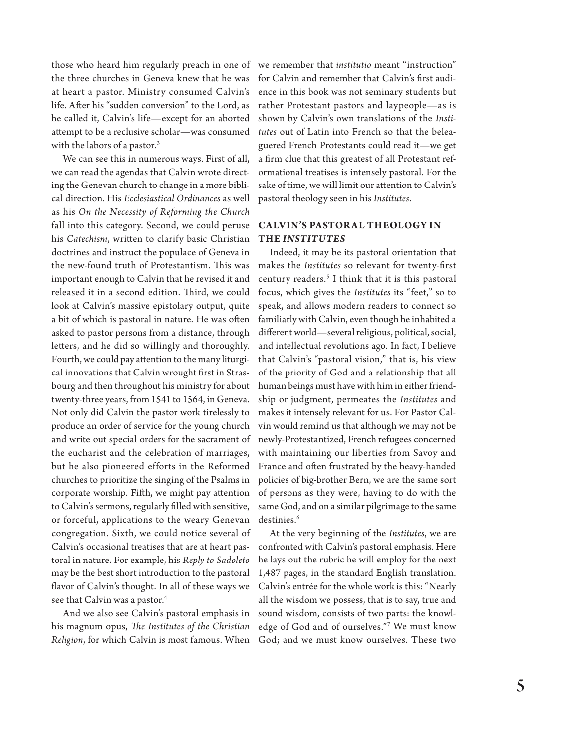those who heard him regularly preach in one of the three churches in Geneva knew that he was at heart a pastor. Ministry consumed Calvin's life. After his "sudden conversion" to the Lord, as he called it, Calvin's life—except for an aborted attempt to be a reclusive scholar—was consumed with the labors of a pastor.<sup>3</sup>

We can see this in numerous ways. First of all, we can read the agendas that Calvin wrote directing the Genevan church to change in a more biblical direction. His *Ecclesiastical Ordinances* as well as his *On the Necessity of Reforming the Church* fall into this category. Second, we could peruse his *Catechism*, written to clarify basic Christian doctrines and instruct the populace of Geneva in the new-found truth of Protestantism. This was important enough to Calvin that he revised it and released it in a second edition. Third, we could look at Calvin's massive epistolary output, quite a bit of which is pastoral in nature. He was often asked to pastor persons from a distance, through letters, and he did so willingly and thoroughly. Fourth, we could pay attention to the many liturgical innovations that Calvin wrought first in Strasbourg and then throughout his ministry for about twenty-three years, from 1541 to 1564, in Geneva. Not only did Calvin the pastor work tirelessly to produce an order of service for the young church and write out special orders for the sacrament of the eucharist and the celebration of marriages, but he also pioneered efforts in the Reformed churches to prioritize the singing of the Psalms in corporate worship. Fifth, we might pay attention to Calvin's sermons, regularly filled with sensitive, or forceful, applications to the weary Genevan congregation. Sixth, we could notice several of Calvin's occasional treatises that are at heart pastoral in nature. For example, his *Reply to Sadoleto* may be the best short introduction to the pastoral flavor of Calvin's thought. In all of these ways we see that Calvin was a pastor.<sup>4</sup>

And we also see Calvin's pastoral emphasis in his magnum opus, *The Institutes of the Christian Religion*, for which Calvin is most famous. When

we remember that *institutio* meant "instruction" for Calvin and remember that Calvin's first audience in this book was not seminary students but rather Protestant pastors and laypeople—as is shown by Calvin's own translations of the *Institutes* out of Latin into French so that the beleaguered French Protestants could read it—we get a firm clue that this greatest of all Protestant reformational treatises is intensely pastoral. For the sake of time, we will limit our attention to Calvin's pastoral theology seen in his *Institutes*.

# **CALVIN'S PASTORAL THEOLOGY IN the** *Institutes*

Indeed, it may be its pastoral orientation that makes the *Institutes* so relevant for twenty-first century readers.5 I think that it is this pastoral focus, which gives the *Institutes* its "feet," so to speak, and allows modern readers to connect so familiarly with Calvin, even though he inhabited a different world—several religious, political, social, and intellectual revolutions ago. In fact, I believe that Calvin's "pastoral vision," that is, his view of the priority of God and a relationship that all human beings must have with him in either friendship or judgment, permeates the *Institutes* and makes it intensely relevant for us. For Pastor Calvin would remind us that although we may not be newly-Protestantized, French refugees concerned with maintaining our liberties from Savoy and France and often frustrated by the heavy-handed policies of big-brother Bern, we are the same sort of persons as they were, having to do with the same God, and on a similar pilgrimage to the same destinies.<sup>6</sup>

At the very beginning of the *Institutes*, we are confronted with Calvin's pastoral emphasis. Here he lays out the rubric he will employ for the next 1,487 pages, in the standard English translation. Calvin's entrée for the whole work is this: "Nearly all the wisdom we possess, that is to say, true and sound wisdom, consists of two parts: the knowledge of God and of ourselves."7 We must know God; and we must know ourselves. These two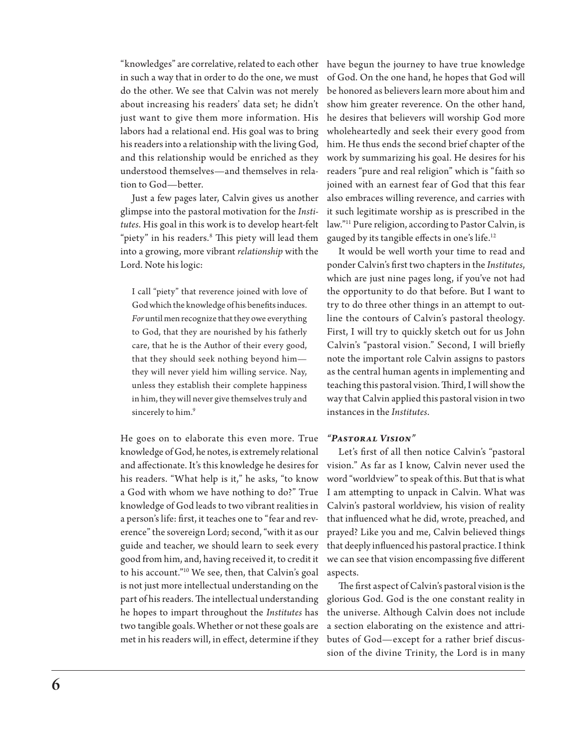"knowledges" are correlative, related to each other have begun the journey to have true knowledge in such a way that in order to do the one, we must do the other. We see that Calvin was not merely about increasing his readers' data set; he didn't just want to give them more information. His labors had a relational end. His goal was to bring his readers into a relationship with the living God, and this relationship would be enriched as they understood themselves—and themselves in relation to God—better.

Just a few pages later, Calvin gives us another glimpse into the pastoral motivation for the *Institutes*. His goal in this work is to develop heart-felt "piety" in his readers.8 This piety will lead them into a growing, more vibrant *relationship* with the Lord. Note his logic:

I call "piety" that reverence joined with love of God which the knowledge of his benefits induces. *For* until men recognize that they owe everything to God, that they are nourished by his fatherly care, that he is the Author of their every good, that they should seek nothing beyond him they will never yield him willing service. Nay, unless they establish their complete happiness in him, they will never give themselves truly and sincerely to him.<sup>9</sup>

He goes on to elaborate this even more. True knowledge of God, he notes, is extremely relational and affectionate. It's this knowledge he desires for his readers. "What help is it," he asks, "to know a God with whom we have nothing to do?" True knowledge of God leads to two vibrant realities in a person's life: first, it teaches one to "fear and reverence" the sovereign Lord; second, "with it as our guide and teacher, we should learn to seek every good from him, and, having received it, to credit it to his account."10 We see, then, that Calvin's goal is not just more intellectual understanding on the part of his readers. The intellectual understanding he hopes to impart throughout the *Institutes* has two tangible goals. Whether or not these goals are met in his readers will, in effect, determine if they

of God. On the one hand, he hopes that God will be honored as believers learn more about him and show him greater reverence. On the other hand, he desires that believers will worship God more wholeheartedly and seek their every good from him. He thus ends the second brief chapter of the work by summarizing his goal. He desires for his readers "pure and real religion" which is "faith so joined with an earnest fear of God that this fear also embraces willing reverence, and carries with it such legitimate worship as is prescribed in the law."11 Pure religion, according to Pastor Calvin, is gauged by its tangible effects in one's life.12

It would be well worth your time to read and ponder Calvin's first two chapters in the *Institutes*, which are just nine pages long, if you've not had the opportunity to do that before. But I want to try to do three other things in an attempt to outline the contours of Calvin's pastoral theology. First, I will try to quickly sketch out for us John Calvin's "pastoral vision." Second, I will briefly note the important role Calvin assigns to pastors as the central human agents in implementing and teaching this pastoral vision. Third, I will show the way that Calvin applied this pastoral vision in two instances in the *Institutes*.

#### *"Pastoral Vision"*

Let's first of all then notice Calvin's "pastoral vision." As far as I know, Calvin never used the word "worldview" to speak of this. But that is what I am attempting to unpack in Calvin. What was Calvin's pastoral worldview, his vision of reality that influenced what he did, wrote, preached, and prayed? Like you and me, Calvin believed things that deeply influenced his pastoral practice. I think we can see that vision encompassing five different aspects.

The first aspect of Calvin's pastoral vision is the glorious God. God is the one constant reality in the universe. Although Calvin does not include a section elaborating on the existence and attributes of God—except for a rather brief discussion of the divine Trinity, the Lord is in many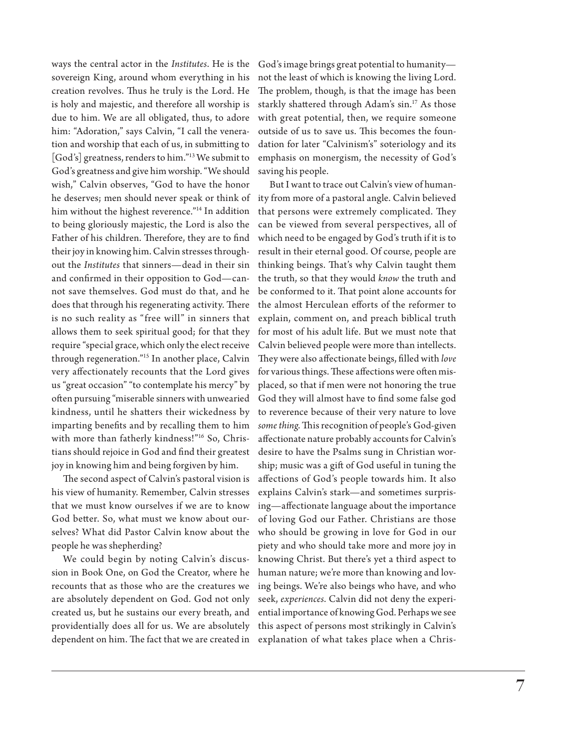ways the central actor in the *Institutes*. He is the sovereign King, around whom everything in his creation revolves. Thus he truly is the Lord. He is holy and majestic, and therefore all worship is due to him. We are all obligated, thus, to adore him: "Adoration," says Calvin, "I call the veneration and worship that each of us, in submitting to [God's] greatness, renders to him."13 We submit to God's greatness and give him worship. "We should wish," Calvin observes, "God to have the honor he deserves; men should never speak or think of ity from more of a pastoral angle. Calvin believed him without the highest reverence."14 In addition to being gloriously majestic, the Lord is also the Father of his children. Therefore, they are to find their joy in knowing him. Calvin stresses throughout the *Institutes* that sinners—dead in their sin and confirmed in their opposition to God—cannot save themselves. God must do that, and he does that through his regenerating activity. There is no such reality as "free will" in sinners that allows them to seek spiritual good; for that they require "special grace, which only the elect receive through regeneration."15 In another place, Calvin very affectionately recounts that the Lord gives us "great occasion" "to contemplate his mercy" by often pursuing "miserable sinners with unwearied kindness, until he shatters their wickedness by imparting benefits and by recalling them to him with more than fatherly kindness!"16 So, Christians should rejoice in God and find their greatest joy in knowing him and being forgiven by him.

The second aspect of Calvin's pastoral vision is his view of humanity. Remember, Calvin stresses that we must know ourselves if we are to know God better. So, what must we know about ourselves? What did Pastor Calvin know about the people he was shepherding?

We could begin by noting Calvin's discussion in Book One, on God the Creator, where he recounts that as those who are the creatures we are absolutely dependent on God. God not only created us, but he sustains our every breath, and providentially does all for us. We are absolutely dependent on him. The fact that we are created in God's image brings great potential to humanity not the least of which is knowing the living Lord. The problem, though, is that the image has been starkly shattered through Adam's sin.<sup>17</sup> As those with great potential, then, we require someone outside of us to save us. This becomes the foundation for later "Calvinism's" soteriology and its emphasis on monergism, the necessity of God's saving his people.

But I want to trace out Calvin's view of humanthat persons were extremely complicated. They can be viewed from several perspectives, all of which need to be engaged by God's truth if it is to result in their eternal good. Of course, people are thinking beings. That's why Calvin taught them the truth, so that they would *know* the truth and be conformed to it. That point alone accounts for the almost Herculean efforts of the reformer to explain, comment on, and preach biblical truth for most of his adult life. But we must note that Calvin believed people were more than intellects. They were also affectionate beings, filled with *love* for various things. These affections were often misplaced, so that if men were not honoring the true God they will almost have to find some false god to reverence because of their very nature to love *some thing*. This recognition of people's God-given affectionate nature probably accounts for Calvin's desire to have the Psalms sung in Christian worship; music was a gift of God useful in tuning the affections of God's people towards him. It also explains Calvin's stark—and sometimes surprising—affectionate language about the importance of loving God our Father. Christians are those who should be growing in love for God in our piety and who should take more and more joy in knowing Christ. But there's yet a third aspect to human nature; we're more than knowing and loving beings. We're also beings who have, and who seek, *experiences*. Calvin did not deny the experiential importance of knowing God. Perhaps we see this aspect of persons most strikingly in Calvin's explanation of what takes place when a Chris-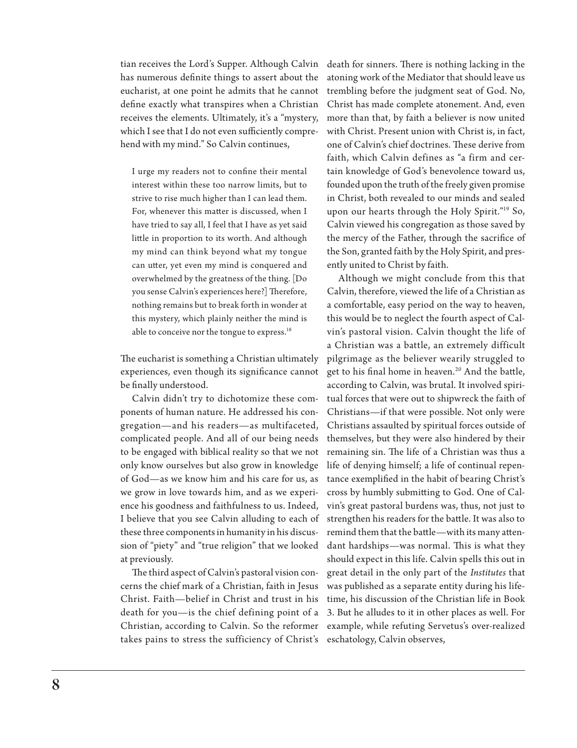tian receives the Lord's Supper. Although Calvin has numerous definite things to assert about the eucharist, at one point he admits that he cannot define exactly what transpires when a Christian receives the elements. Ultimately, it's a "mystery, which I see that I do not even sufficiently comprehend with my mind." So Calvin continues,

I urge my readers not to confine their mental interest within these too narrow limits, but to strive to rise much higher than I can lead them. For, whenever this matter is discussed, when I have tried to say all, I feel that I have as yet said little in proportion to its worth. And although my mind can think beyond what my tongue can utter, yet even my mind is conquered and overwhelmed by the greatness of the thing. [Do you sense Calvin's experiences here?] Therefore, nothing remains but to break forth in wonder at this mystery, which plainly neither the mind is able to conceive nor the tongue to express.<sup>18</sup>

The eucharist is something a Christian ultimately experiences, even though its significance cannot be finally understood.

Calvin didn't try to dichotomize these components of human nature. He addressed his congregation—and his readers—as multifaceted, complicated people. And all of our being needs to be engaged with biblical reality so that we not only know ourselves but also grow in knowledge of God—as we know him and his care for us, as we grow in love towards him, and as we experience his goodness and faithfulness to us. Indeed, I believe that you see Calvin alluding to each of these three components in humanity in his discussion of "piety" and "true religion" that we looked at previously.

The third aspect of Calvin's pastoral vision concerns the chief mark of a Christian, faith in Jesus Christ. Faith—belief in Christ and trust in his death for you—is the chief defining point of a Christian, according to Calvin. So the reformer takes pains to stress the sufficiency of Christ's death for sinners. There is nothing lacking in the atoning work of the Mediator that should leave us trembling before the judgment seat of God. No, Christ has made complete atonement. And, even more than that, by faith a believer is now united with Christ. Present union with Christ is, in fact, one of Calvin's chief doctrines. These derive from faith, which Calvin defines as "a firm and certain knowledge of God's benevolence toward us, founded upon the truth of the freely given promise in Christ, both revealed to our minds and sealed upon our hearts through the Holy Spirit."19 So, Calvin viewed his congregation as those saved by the mercy of the Father, through the sacrifice of the Son, granted faith by the Holy Spirit, and presently united to Christ by faith.

Although we might conclude from this that Calvin, therefore, viewed the life of a Christian as a comfortable, easy period on the way to heaven, this would be to neglect the fourth aspect of Calvin's pastoral vision. Calvin thought the life of a Christian was a battle, an extremely difficult pilgrimage as the believer wearily struggled to get to his final home in heaven.<sup>20</sup> And the battle, according to Calvin, was brutal. It involved spiritual forces that were out to shipwreck the faith of Christians—if that were possible. Not only were Christians assaulted by spiritual forces outside of themselves, but they were also hindered by their remaining sin. The life of a Christian was thus a life of denying himself; a life of continual repentance exemplified in the habit of bearing Christ's cross by humbly submitting to God. One of Calvin's great pastoral burdens was, thus, not just to strengthen his readers for the battle. It was also to remind them that the battle—with its many attendant hardships—was normal. This is what they should expect in this life. Calvin spells this out in great detail in the only part of the *Institutes* that was published as a separate entity during his lifetime, his discussion of the Christian life in Book 3. But he alludes to it in other places as well. For example, while refuting Servetus's over-realized eschatology, Calvin observes,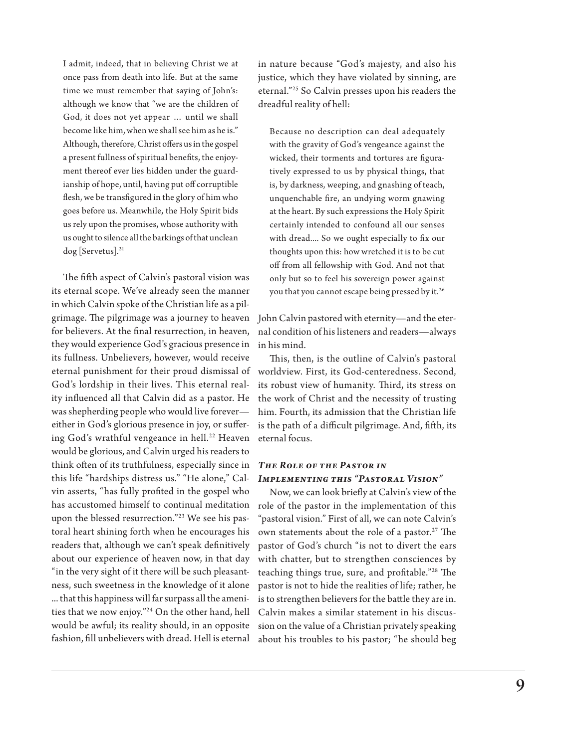I admit, indeed, that in believing Christ we at once pass from death into life. But at the same time we must remember that saying of John's: although we know that "we are the children of God, it does not yet appear … until we shall become like him, when we shall see him as he is." Although, therefore, Christ offers us in the gospel a present fullness of spiritual benefits, the enjoyment thereof ever lies hidden under the guardianship of hope, until, having put off corruptible flesh, we be transfigured in the glory of him who goes before us. Meanwhile, the Holy Spirit bids us rely upon the promises, whose authority with us ought to silence all the barkings of that unclean dog [Servetus].21

The fifth aspect of Calvin's pastoral vision was its eternal scope. We've already seen the manner in which Calvin spoke of the Christian life as a pilgrimage. The pilgrimage was a journey to heaven for believers. At the final resurrection, in heaven, they would experience God's gracious presence in its fullness. Unbelievers, however, would receive eternal punishment for their proud dismissal of God's lordship in their lives. This eternal reality influenced all that Calvin did as a pastor. He was shepherding people who would live forever either in God's glorious presence in joy, or suffering God's wrathful vengeance in hell.<sup>22</sup> Heaven would be glorious, and Calvin urged his readers to think often of its truthfulness, especially since in this life "hardships distress us." "He alone," Calvin asserts, "has fully profited in the gospel who has accustomed himself to continual meditation upon the blessed resurrection."23 We see his pastoral heart shining forth when he encourages his readers that, although we can't speak definitively about our experience of heaven now, in that day "in the very sight of it there will be such pleasantness, such sweetness in the knowledge of it alone ... that this happiness will far surpass all the amenities that we now enjoy."24 On the other hand, hell would be awful; its reality should, in an opposite fashion, fill unbelievers with dread. Hell is eternal

in nature because "God's majesty, and also his justice, which they have violated by sinning, are eternal."25 So Calvin presses upon his readers the dreadful reality of hell:

Because no description can deal adequately with the gravity of God's vengeance against the wicked, their torments and tortures are figuratively expressed to us by physical things, that is, by darkness, weeping, and gnashing of teach, unquenchable fire, an undying worm gnawing at the heart. By such expressions the Holy Spirit certainly intended to confound all our senses with dread.... So we ought especially to fix our thoughts upon this: how wretched it is to be cut off from all fellowship with God. And not that only but so to feel his sovereign power against you that you cannot escape being pressed by it.<sup>26</sup>

John Calvin pastored with eternity—and the eternal condition of his listeners and readers—always in his mind.

This, then, is the outline of Calvin's pastoral worldview. First, its God-centeredness. Second, its robust view of humanity. Third, its stress on the work of Christ and the necessity of trusting him. Fourth, its admission that the Christian life is the path of a difficult pilgrimage. And, fifth, its eternal focus.

### *The Role of the Pastor in Implementing this "Pastoral Vision"*

Now, we can look briefly at Calvin's view of the role of the pastor in the implementation of this "pastoral vision." First of all, we can note Calvin's own statements about the role of a pastor.<sup>27</sup> The pastor of God's church "is not to divert the ears with chatter, but to strengthen consciences by teaching things true, sure, and profitable."28 The pastor is not to hide the realities of life; rather, he is to strengthen believers for the battle they are in. Calvin makes a similar statement in his discussion on the value of a Christian privately speaking about his troubles to his pastor; "he should beg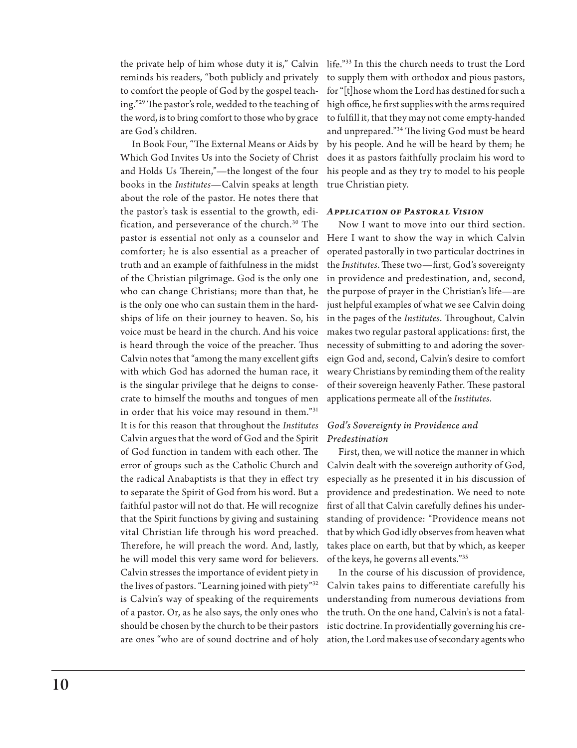the private help of him whose duty it is," Calvin life."33 In this the church needs to trust the Lord reminds his readers, "both publicly and privately to comfort the people of God by the gospel teaching."29 The pastor's role, wedded to the teaching of the word, is to bring comfort to those who by grace are God's children.

In Book Four, "The External Means or Aids by Which God Invites Us into the Society of Christ and Holds Us Therein,"—the longest of the four books in the *Institutes*—Calvin speaks at length about the role of the pastor. He notes there that the pastor's task is essential to the growth, edi-*Application of Pastoral Vision* fication, and perseverance of the church.<sup>30</sup> The pastor is essential not only as a counselor and comforter; he is also essential as a preacher of truth and an example of faithfulness in the midst of the Christian pilgrimage. God is the only one who can change Christians; more than that, he is the only one who can sustain them in the hardships of life on their journey to heaven. So, his voice must be heard in the church. And his voice is heard through the voice of the preacher. Thus Calvin notes that "among the many excellent gifts with which God has adorned the human race, it is the singular privilege that he deigns to consecrate to himself the mouths and tongues of men in order that his voice may resound in them."31 It is for this reason that throughout the *Institutes*  Calvin argues that the word of God and the Spirit of God function in tandem with each other. The error of groups such as the Catholic Church and the radical Anabaptists is that they in effect try to separate the Spirit of God from his word. But a faithful pastor will not do that. He will recognize that the Spirit functions by giving and sustaining vital Christian life through his word preached. Therefore, he will preach the word. And, lastly, he will model this very same word for believers. Calvin stresses the importance of evident piety in the lives of pastors. "Learning joined with piety"32 is Calvin's way of speaking of the requirements of a pastor. Or, as he also says, the only ones who should be chosen by the church to be their pastors are ones "who are of sound doctrine and of holy

to supply them with orthodox and pious pastors, for "[t]hose whom the Lord has destined for such a high office, he first supplies with the arms required to fulfill it, that they may not come empty-handed and unprepared."34 The living God must be heard by his people. And he will be heard by them; he does it as pastors faithfully proclaim his word to his people and as they try to model to his people true Christian piety.

Now I want to move into our third section. Here I want to show the way in which Calvin operated pastorally in two particular doctrines in the *Institutes*. These two—first, God's sovereignty in providence and predestination, and, second, the purpose of prayer in the Christian's life—are just helpful examples of what we see Calvin doing in the pages of the *Institutes*. Throughout, Calvin makes two regular pastoral applications: first, the necessity of submitting to and adoring the sovereign God and, second, Calvin's desire to comfort weary Christians by reminding them of the reality of their sovereign heavenly Father. These pastoral applications permeate all of the *Institutes*.

### *God's Sovereignty in Providence and Predestination*

First, then, we will notice the manner in which Calvin dealt with the sovereign authority of God, especially as he presented it in his discussion of providence and predestination. We need to note first of all that Calvin carefully defines his understanding of providence: "Providence means not that by which God idly observes from heaven what takes place on earth, but that by which, as keeper of the keys, he governs all events."35

In the course of his discussion of providence, Calvin takes pains to differentiate carefully his understanding from numerous deviations from the truth. On the one hand, Calvin's is not a fatalistic doctrine. In providentially governing his creation, the Lord makes use of secondary agents who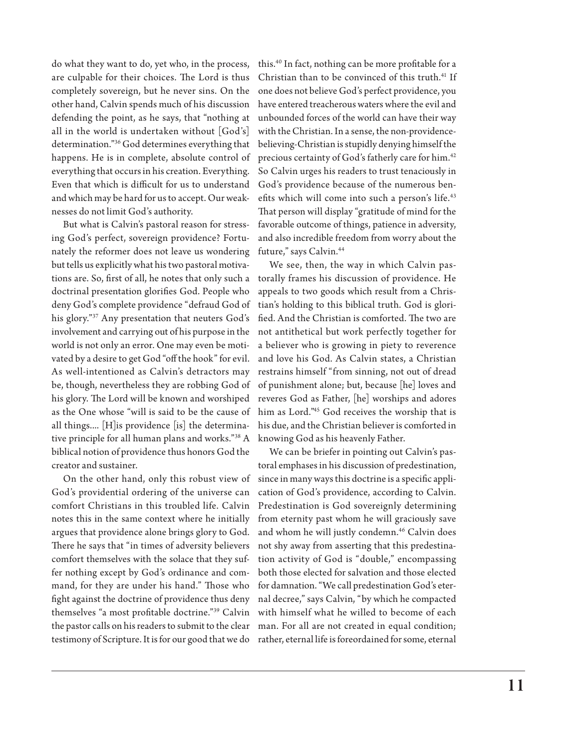do what they want to do, yet who, in the process, are culpable for their choices. The Lord is thus completely sovereign, but he never sins. On the other hand, Calvin spends much of his discussion defending the point, as he says, that "nothing at all in the world is undertaken without [God's] determination."36 God determines everything that happens. He is in complete, absolute control of everything that occurs in his creation. Everything. Even that which is difficult for us to understand and which may be hard for us to accept. Our weaknesses do not limit God's authority.

But what is Calvin's pastoral reason for stressing God's perfect, sovereign providence? Fortunately the reformer does not leave us wondering but tells us explicitly what his two pastoral motivations are. So, first of all, he notes that only such a doctrinal presentation glorifies God. People who deny God's complete providence "defraud God of his glory."37 Any presentation that neuters God's involvement and carrying out of his purpose in the world is not only an error. One may even be motivated by a desire to get God "off the hook" for evil. As well-intentioned as Calvin's detractors may be, though, nevertheless they are robbing God of his glory. The Lord will be known and worshiped as the One whose "will is said to be the cause of all things.... [H]is providence [is] the determinative principle for all human plans and works."38 A biblical notion of providence thus honors God the creator and sustainer.

On the other hand, only this robust view of God's providential ordering of the universe can comfort Christians in this troubled life. Calvin notes this in the same context where he initially argues that providence alone brings glory to God. There he says that "in times of adversity believers comfort themselves with the solace that they suffer nothing except by God's ordinance and command, for they are under his hand." Those who fight against the doctrine of providence thus deny themselves "a most profitable doctrine."39 Calvin the pastor calls on his readers to submit to the clear man. For all are not created in equal condition;

this.40 In fact, nothing can be more profitable for a Christian than to be convinced of this truth.<sup>41</sup> If one does not believe God's perfect providence, you have entered treacherous waters where the evil and unbounded forces of the world can have their way with the Christian. In a sense, the non-providencebelieving-Christian is stupidly denying himself the precious certainty of God's fatherly care for him.<sup>42</sup> So Calvin urges his readers to trust tenaciously in God's providence because of the numerous benefits which will come into such a person's life.<sup>43</sup> That person will display "gratitude of mind for the favorable outcome of things, patience in adversity, and also incredible freedom from worry about the future," says Calvin.<sup>44</sup>

We see, then, the way in which Calvin pastorally frames his discussion of providence. He appeals to two goods which result from a Christian's holding to this biblical truth. God is glorified. And the Christian is comforted. The two are not antithetical but work perfectly together for a believer who is growing in piety to reverence and love his God. As Calvin states, a Christian restrains himself "from sinning, not out of dread of punishment alone; but, because [he] loves and reveres God as Father, [he] worships and adores him as Lord."45 God receives the worship that is his due, and the Christian believer is comforted in knowing God as his heavenly Father.

testimony of Scripture. It is for our good that we do rather, eternal life is foreordained for some, eternal We can be briefer in pointing out Calvin's pastoral emphases in his discussion of predestination, since in many ways this doctrine is a specific application of God's providence, according to Calvin. Predestination is God sovereignly determining from eternity past whom he will graciously save and whom he will justly condemn.<sup>46</sup> Calvin does not shy away from asserting that this predestination activity of God is "double," encompassing both those elected for salvation and those elected for damnation. "We call predestination God's eternal decree," says Calvin, "by which he compacted with himself what he willed to become of each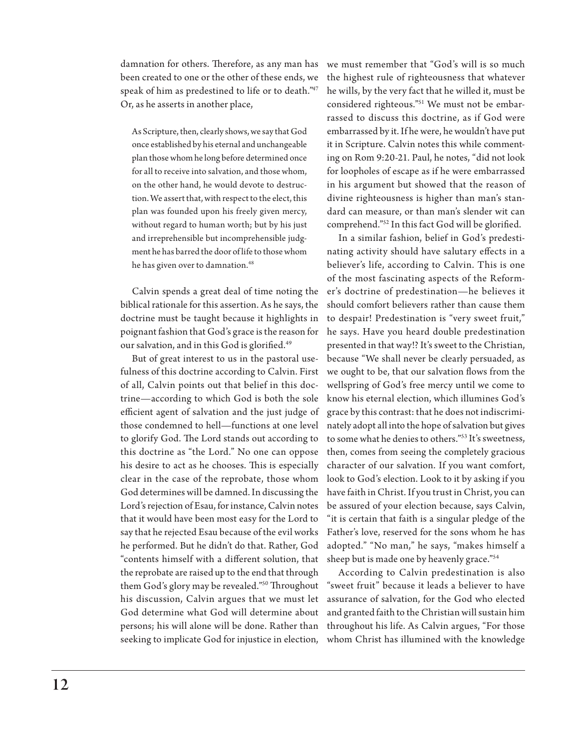damnation for others. Therefore, as any man has been created to one or the other of these ends, we speak of him as predestined to life or to death."47 Or, as he asserts in another place,

As Scripture, then, clearly shows, we say that God once established by his eternal and unchangeable plan those whom he long before determined once for all to receive into salvation, and those whom, on the other hand, he would devote to destruction. We assert that, with respect to the elect, this plan was founded upon his freely given mercy, without regard to human worth; but by his just and irreprehensible but incomprehensible judgment he has barred the door of life to those whom he has given over to damnation.<sup>48</sup>

Calvin spends a great deal of time noting the biblical rationale for this assertion. As he says, the doctrine must be taught because it highlights in poignant fashion that God's grace is the reason for our salvation, and in this God is glorified.<sup>49</sup>

But of great interest to us in the pastoral usefulness of this doctrine according to Calvin. First of all, Calvin points out that belief in this doctrine—according to which God is both the sole efficient agent of salvation and the just judge of those condemned to hell—functions at one level to glorify God. The Lord stands out according to this doctrine as "the Lord." No one can oppose his desire to act as he chooses. This is especially clear in the case of the reprobate, those whom God determines will be damned. In discussing the Lord's rejection of Esau, for instance, Calvin notes that it would have been most easy for the Lord to say that he rejected Esau because of the evil works he performed. But he didn't do that. Rather, God "contents himself with a different solution, that the reprobate are raised up to the end that through them God's glory may be revealed."50 Throughout his discussion, Calvin argues that we must let God determine what God will determine about persons; his will alone will be done. Rather than seeking to implicate God for injustice in election,

we must remember that "God's will is so much the highest rule of righteousness that whatever he wills, by the very fact that he willed it, must be considered righteous."51 We must not be embarrassed to discuss this doctrine, as if God were embarrassed by it. If he were, he wouldn't have put it in Scripture. Calvin notes this while commenting on Rom 9:20-21. Paul, he notes, "did not look for loopholes of escape as if he were embarrassed in his argument but showed that the reason of divine righteousness is higher than man's standard can measure, or than man's slender wit can comprehend."52 In this fact God will be glorified.

In a similar fashion, belief in God's predestinating activity should have salutary effects in a believer's life, according to Calvin. This is one of the most fascinating aspects of the Reformer's doctrine of predestination—he believes it should comfort believers rather than cause them to despair! Predestination is "very sweet fruit," he says. Have you heard double predestination presented in that way!? It's sweet to the Christian, because "We shall never be clearly persuaded, as we ought to be, that our salvation flows from the wellspring of God's free mercy until we come to know his eternal election, which illumines God's grace by this contrast: that he does not indiscriminately adopt all into the hope of salvation but gives to some what he denies to others."53 It's sweetness, then, comes from seeing the completely gracious character of our salvation. If you want comfort, look to God's election. Look to it by asking if you have faith in Christ. If you trust in Christ, you can be assured of your election because, says Calvin, "it is certain that faith is a singular pledge of the Father's love, reserved for the sons whom he has adopted." "No man," he says, "makes himself a sheep but is made one by heavenly grace."54

According to Calvin predestination is also "sweet fruit" because it leads a believer to have assurance of salvation, for the God who elected and granted faith to the Christian will sustain him throughout his life. As Calvin argues, "For those whom Christ has illumined with the knowledge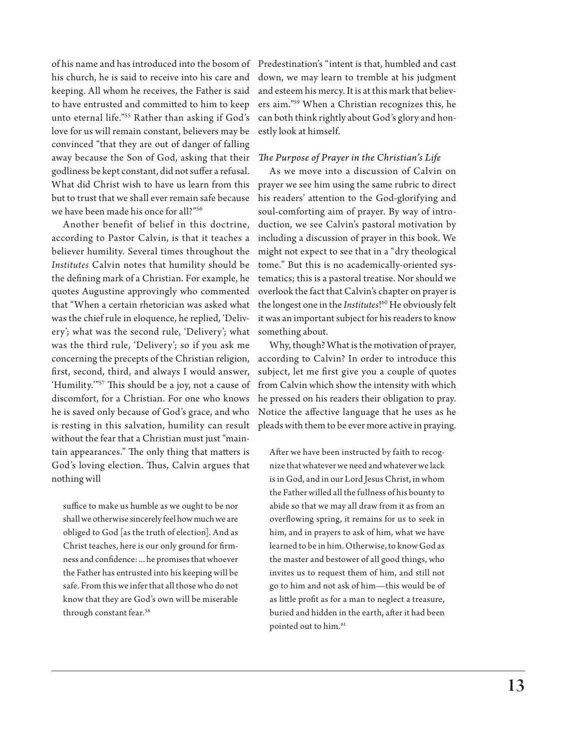of his name and has introduced into the bosom of his church, he is said to receive into his care and keeping. All whom he receives, the Father is said to have entrusted and committed to him to keep unto eternal life."55 Rather than asking if God's love for us will remain constant, believers may be convinced "that they are out of danger of falling away because the Son of God, asking that their godliness be kept constant, did not suffer a refusal. What did Christ wish to have us learn from this but to trust that we shall ever remain safe because we have been made his once for all?"56

Another benefit of belief in this doctrine, according to Pastor Calvin, is that it teaches a believer humility. Several times throughout the *Institutes* Calvin notes that humility should be the defining mark of a Christian. For example, he quotes Augustine approvingly who commented that "When a certain rhetorician was asked what was the chief rule in eloquence, he replied, 'Delivery'; what was the second rule, 'Delivery'; what was the third rule, 'Delivery'; so if you ask me concerning the precepts of the Christian religion, first, second, third, and always I would answer, 'Humility.'"57 This should be a joy, not a cause of discomfort, for a Christian. For one who knows he is saved only because of God's grace, and who is resting in this salvation, humility can result without the fear that a Christian must just "maintain appearances." The only thing that matters is God's loving election. Thus, Calvin argues that nothing will

suffice to make us humble as we ought to be nor shall we otherwise sincerely feel how much we are obliged to God [as the truth of election]. And as Christ teaches, here is our only ground for firmness and confidence: ... he promises that whoever the Father has entrusted into his keeping will be safe. From this we infer that all those who do not know that they are God's own will be miserable through constant fear.<sup>58</sup>

Predestination's "intent is that, humbled and cast down, we may learn to tremble at his judgment and esteem his mercy. It is at this mark that believers aim."59 When a Christian recognizes this, he can both think rightly about God's glory and honestly look at himself.

#### *The Purpose of Prayer in the Christian's Life*

As we move into a discussion of Calvin on prayer we see him using the same rubric to direct his readers' attention to the God-glorifying and soul-comforting aim of prayer. By way of introduction, we see Calvin's pastoral motivation by including a discussion of prayer in this book. We might not expect to see that in a "dry theological tome." But this is no academically-oriented systematics; this is a pastoral treatise. Nor should we overlook the fact that Calvin's chapter on prayer is the longest one in the *Institutes*! 60 He obviously felt it was an important subject for his readers to know something about.

Why, though? What is the motivation of prayer, according to Calvin? In order to introduce this subject, let me first give you a couple of quotes from Calvin which show the intensity with which he pressed on his readers their obligation to pray. Notice the affective language that he uses as he pleads with them to be ever more active in praying.

After we have been instructed by faith to recognize that whatever we need and whatever we lack is in God, and in our Lord Jesus Christ, in whom the Father willed all the fullness of his bounty to abide so that we may all draw from it as from an overflowing spring, it remains for us to seek in him, and in prayers to ask of him, what we have learned to be in him. Otherwise, to know God as the master and bestower of all good things, who invites us to request them of him, and still not go to him and not ask of him—this would be of as little profit as for a man to neglect a treasure, buried and hidden in the earth, after it had been pointed out to him.<sup>61</sup>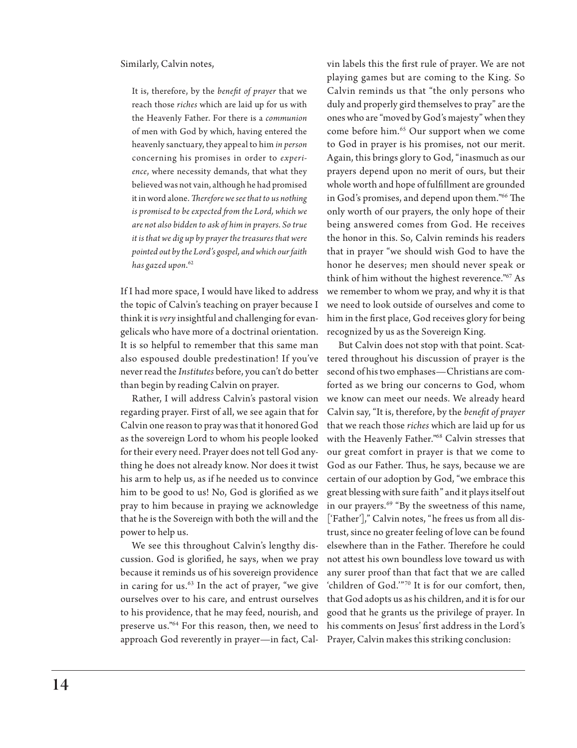#### Similarly, Calvin notes,

It is, therefore, by the *benefit of prayer* that we reach those *riches* which are laid up for us with the Heavenly Father. For there is a *communion* of men with God by which, having entered the heavenly sanctuary, they appeal to him *in person* concerning his promises in order to *experience*, where necessity demands, that what they believed was not vain, although he had promised it in word alone. *Therefore we see that to us nothing is promised to be expected from the Lord, which we are not also bidden to ask of him in prayers. So true it is that we dig up by prayer the treasures that were pointed out by the Lord's gospel, and which our faith has gazed upon*. 62

If I had more space, I would have liked to address the topic of Calvin's teaching on prayer because I think it is *very* insightful and challenging for evangelicals who have more of a doctrinal orientation. It is so helpful to remember that this same man also espoused double predestination! If you've never read the *Institutes* before, you can't do better than begin by reading Calvin on prayer.

Rather, I will address Calvin's pastoral vision regarding prayer. First of all, we see again that for Calvin one reason to pray was that it honored God as the sovereign Lord to whom his people looked for their every need. Prayer does not tell God anything he does not already know. Nor does it twist his arm to help us, as if he needed us to convince him to be good to us! No, God is glorified as we pray to him because in praying we acknowledge that he is the Sovereign with both the will and the power to help us.

We see this throughout Calvin's lengthy discussion. God is glorified, he says, when we pray because it reminds us of his sovereign providence in caring for us. $63$  In the act of prayer, "we give ourselves over to his care, and entrust ourselves to his providence, that he may feed, nourish, and preserve us."64 For this reason, then, we need to approach God reverently in prayer—in fact, Calvin labels this the first rule of prayer. We are not playing games but are coming to the King. So Calvin reminds us that "the only persons who duly and properly gird themselves to pray" are the ones who are "moved by God's majesty" when they come before him.<sup>65</sup> Our support when we come to God in prayer is his promises, not our merit. Again, this brings glory to God, "inasmuch as our prayers depend upon no merit of ours, but their whole worth and hope of fulfillment are grounded in God's promises, and depend upon them."66 The only worth of our prayers, the only hope of their being answered comes from God. He receives the honor in this. So, Calvin reminds his readers that in prayer "we should wish God to have the honor he deserves; men should never speak or think of him without the highest reverence."<sup>67</sup> As we remember to whom we pray, and why it is that we need to look outside of ourselves and come to him in the first place, God receives glory for being recognized by us as the Sovereign King.

But Calvin does not stop with that point. Scattered throughout his discussion of prayer is the second of his two emphases—Christians are comforted as we bring our concerns to God, whom we know can meet our needs. We already heard Calvin say, "It is, therefore, by the *benefit of prayer* that we reach those *riches* which are laid up for us with the Heavenly Father."68 Calvin stresses that our great comfort in prayer is that we come to God as our Father. Thus, he says, because we are certain of our adoption by God, "we embrace this great blessing with sure faith" and it plays itself out in our prayers.<sup>69</sup> "By the sweetness of this name, ['Father']," Calvin notes, "he frees us from all distrust, since no greater feeling of love can be found elsewhere than in the Father. Therefore he could not attest his own boundless love toward us with any surer proof than that fact that we are called 'children of God.'"70 It is for our comfort, then, that God adopts us as his children, and it is for our good that he grants us the privilege of prayer. In his comments on Jesus' first address in the Lord's Prayer, Calvin makes this striking conclusion: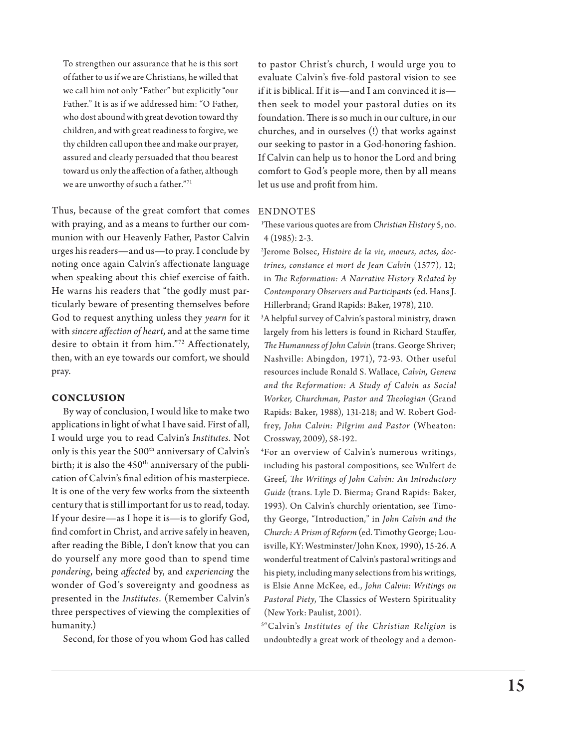To strengthen our assurance that he is this sort of father to us if we are Christians, he willed that we call him not only "Father" but explicitly "our Father." It is as if we addressed him: "O Father, who dost abound with great devotion toward thy children, and with great readiness to forgive, we thy children call upon thee and make our prayer, assured and clearly persuaded that thou bearest toward us only the affection of a father, although we are unworthy of such a father."71

Thus, because of the great comfort that comes with praying, and as a means to further our communion with our Heavenly Father, Pastor Calvin urges his readers—and us—to pray. I conclude by noting once again Calvin's affectionate language when speaking about this chief exercise of faith. He warns his readers that "the godly must particularly beware of presenting themselves before God to request anything unless they *yearn* for it with *sincere affection of heart*, and at the same time desire to obtain it from him."72 Affectionately, then, with an eye towards our comfort, we should pray.

#### **Conclusion**

By way of conclusion, I would like to make two applications in light of what I have said. First of all, I would urge you to read Calvin's *Institutes*. Not only is this year the 500<sup>th</sup> anniversary of Calvin's birth; it is also the  $450<sup>th</sup>$  anniversary of the publication of Calvin's final edition of his masterpiece. It is one of the very few works from the sixteenth century that is still important for us to read, today. If your desire—as I hope it is—is to glorify God, find comfort in Christ, and arrive safely in heaven, after reading the Bible, I don't know that you can do yourself any more good than to spend time *pondering*, being *affected* by, and *experiencing* the wonder of God's sovereignty and goodness as presented in the *Institutes*. (Remember Calvin's three perspectives of viewing the complexities of humanity.)

Second, for those of you whom God has called

to pastor Christ's church, I would urge you to evaluate Calvin's five-fold pastoral vision to see if it is biblical. If it is—and I am convinced it is then seek to model your pastoral duties on its foundation. There is so much in our culture, in our churches, and in ourselves (!) that works against our seeking to pastor in a God-honoring fashion. If Calvin can help us to honor the Lord and bring comfort to God's people more, then by all means let us use and profit from him.

#### **ENDNOTES**

1 These various quotes are from *Christian History* 5, no. 4 (1985): 2-3.

2 Jerome Bolsec, *Histoire de la vie, moeurs, actes, doctrines, constance et mort de Jean Calvin* (1577), 12; in *The Reformation: A Narrative History Related by Contemporary Observers and Participants* (ed. Hans J. Hillerbrand; Grand Rapids: Baker, 1978), 210.

 3A helpful survey of Calvin's pastoral ministry, drawn largely from his letters is found in Richard Stauffer, *The Humanness of John Calvin* (trans. George Shriver; Nashville: Abingdon, 1971), 72-93. Other useful resources include Ronald S. Wallace, *Calvin, Geneva and the Reformation: A Study of Calvin as Social Worker, Churchman, Pastor and Theologian* (Grand Rapids: Baker, 1988), 131-218; and W. Robert Godfrey, John Calvin: Pilgrim and Pastor (Wheaton: Crossway, 2009), 58-192.

4 For an overview of Calvin's numerous writings, including his pastoral compositions, see Wulfert de Greef, *The Writings of John Calvin: An Introductory Guide* (trans. Lyle D. Bierma; Grand Rapids: Baker, 1993). On Calvin's churchly orientation, see Timothy George, "Introduction," in *John Calvin and the Church: A Prism of Reform* (ed. Timothy George; Louisville, KY: Westminster/John Knox, 1990), 15-26. A wonderful treatment of Calvin's pastoral writings and his piety, including many selections from his writings, is Elsie Anne McKee, ed., *John Calvin: Writings on Pastoral Piety*, The Classics of Western Spirituality (New York: Paulist, 2001).

5 "Calvin's *Institutes of the Christian Religion* is undoubtedly a great work of theology and a demon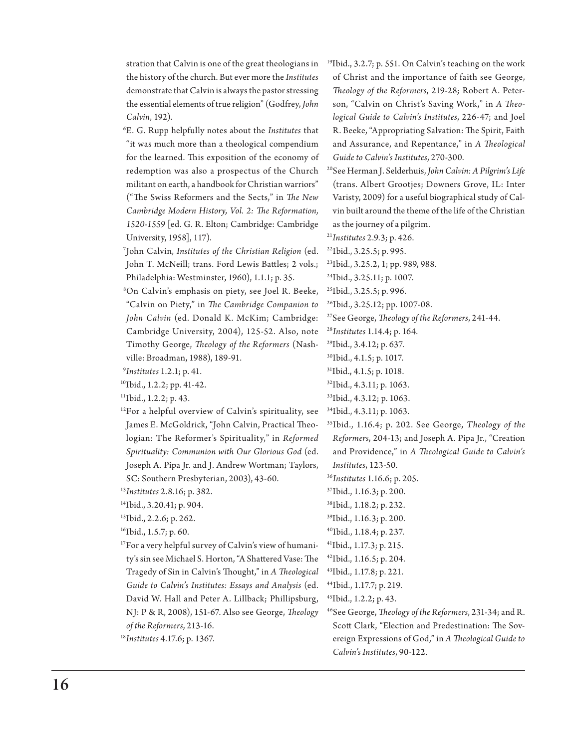stration that Calvin is one of the great theologians in the history of the church. But ever more the *Institutes*  demonstrate that Calvin is always the pastor stressing the essential elements of true religion" (Godfrey, *John Calvin*, 192).

6 E. G. Rupp helpfully notes about the *Institutes* that "it was much more than a theological compendium for the learned. This exposition of the economy of redemption was also a prospectus of the Church militant on earth, a handbook for Christian warriors" ("The Swiss Reformers and the Sects," in *The New Cambridge Modern History, Vol. 2: The Reformation, 1520-1559* [ed. G. R. Elton; Cambridge: Cambridge University, 1958], 117).

7 John Calvin, *Institutes of the Christian Religion* (ed. John T. McNeill; trans. Ford Lewis Battles; 2 vols.; Philadelphia: Westminster, 1960), 1.1.1; p. 35.

8 On Calvin's emphasis on piety, see Joel R. Beeke, "Calvin on Piety," in *The Cambridge Companion to John Calvin* (ed. Donald K. McKim; Cambridge: Cambridge University, 2004), 125-52. Also, note Timothy George, *Theology of the Reformers* (Nashville: Broadman, 1988), 189-91.

9 *Institutes* 1.2.1; p. 41.

10Ibid., 1.2.2; pp. 41-42.

11Ibid., 1.2.2; p. 43.

- <sup>12</sup>For a helpful overview of Calvin's spirituality, see James E. McGoldrick, "John Calvin, Practical Theologian: The Reformer's Spirituality," in *Reformed Spirituality: Communion with Our Glorious God* (ed. Joseph A. Pipa Jr. and J. Andrew Wortman; Taylors, SC: Southern Presbyterian, 2003), 43-60.
- <sup>13</sup>*Institutes* 2.8.16; p. 382.
- 14Ibid., 3.20.41; p. 904.
- <sup>15</sup>Ibid., 2.2.6; p. 262.
- <sup>16</sup>Ibid., 1.5.7; p. 60.
- <sup>17</sup>For a very helpful survey of Calvin's view of humanity's sin see Michael S. Horton, "A Shattered Vase: The Tragedy of Sin in Calvin's Thought," in *A Theological Guide to Calvin's Institutes: Essays and Analysis* (ed. David W. Hall and Peter A. Lillback; Phillipsburg, NJ: P & R, 2008), 151-67. Also see George, *Theology of the Reformers*, 213-16.
- <sup>18</sup>*Institutes* 4.17.6; p. 1367.

19Ibid., 3.2.7; p. 551. On Calvin's teaching on the work of Christ and the importance of faith see George, *Theology of the Reformers*, 219-28; Robert A. Peterson, "Calvin on Christ's Saving Work," in *A Theological Guide to Calvin's Institutes*, 226-47; and Joel R. Beeke, "Appropriating Salvation: The Spirit, Faith and Assurance, and Repentance," in *A Theological Guide to Calvin's Institutes*, 270-300.

20See Herman J. Selderhuis, *John Calvin: A Pilgrim's Life* (trans. Albert Grootjes; Downers Grove, IL: Inter Varisty, 2009) for a useful biographical study of Calvin built around the theme of the life of the Christian as the journey of a pilgrim.

<sup>21</sup>*Institutes* 2.9.3; p. 426. 22Ibid., 3.25.5; p. 995.

23Ibid., 3.25.2, 1; pp. 989, 988.

- 24Ibid., 3.25.11; p. 1007.
- 25Ibid., 3.25.5; p. 996.

26Ibid., 3.25.12; pp. 1007-08.

27See George, *Theology of the Reformers*, 241-44.

<sup>28</sup>*Institutes* 1.14.4; p. 164.

29Ibid., 3.4.12; p. 637.

30Ibid., 4.1.5; p. 1017.

31Ibid., 4.1.5; p. 1018.

32Ibid., 4.3.11; p. 1063.

- 34Ibid., 4.3.11; p. 1063.
- 35Ibid., 1.16.4; p. 202. See George, *Theology of the Reformers*, 204-13; and Joseph A. Pipa Jr., "Creation and Providence," in *A Theological Guide to Calvin's Institutes*, 123-50.

<sup>36</sup>*Institutes* 1.16.6; p. 205.

- 37Ibid., 1.16.3; p. 200.
- 38Ibid., 1.18.2; p. 232.
- 39Ibid., 1.16.3; p. 200.
- 40Ibid., 1.18.4; p. 237.
- 41Ibid., 1.17.3; p. 215.

42Ibid., 1.16.5; p. 204.

- 43Ibid., 1.17.8; p. 221.
- 44Ibid., 1.17.7; p. 219.
- 45Ibid., 1.2.2; p. 43.
- 46See George, *Theology of the Reformers*, 231-34; and R. Scott Clark, "Election and Predestination: The Sovereign Expressions of God," in *A Theological Guide to Calvin's Institutes*, 90-122.

<sup>33</sup>Ibid., 4.3.12; p. 1063.